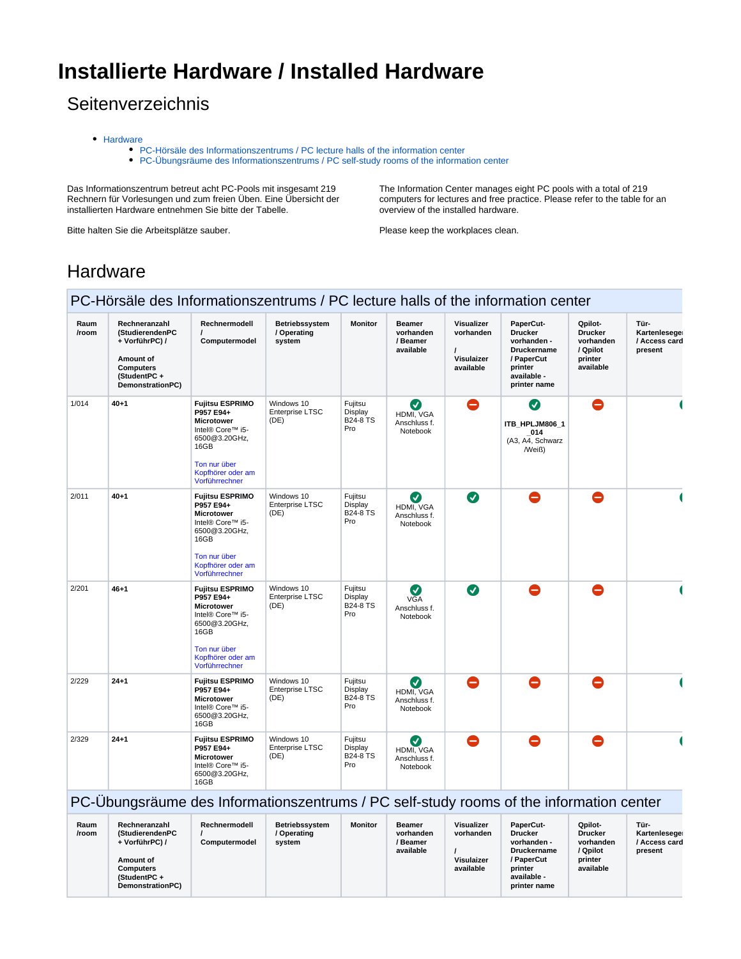# **Installierte Hardware / Installed Hardware**

## **Seitenverzeichnis**

- [Hardware](#page-0-0)
	- [PC-Hörsäle des Informationszentrums / PC lecture halls of the information center](#page-0-1)
		- [PC-Übungsräume des Informationszentrums / PC self-study rooms of the information center](#page-0-2)

Das Informationszentrum betreut acht PC-Pools mit insgesamt 219 Rechnern für Vorlesungen und zum freien Üben. Eine Übersicht der installierten Hardware entnehmen Sie bitte der Tabelle.

Bitte halten Sie die Arbeitsplätze sauber.

The Information Center manages eight PC pools with a total of 219 computers for lectures and free practice. Please refer to the table for an overview of the installed hardware.

Please keep the workplaces clean.

### <span id="page-0-0"></span>**Hardware**

#### <span id="page-0-1"></span>PC-Hörsäle des Informationszentrums / PC lecture halls of the information center

| Raum<br>/room | Rechneranzahl<br>(StudierendenPC<br>+ VorführPC) /<br>Amount of<br><b>Computers</b><br>(StudentPC+<br>DemonstrationPC) | Rechnermodell<br>$\prime$<br>Computermodel                                                                                                                   | Betriebssystem<br>/ Operating<br>system | <b>Monitor</b>                               | <b>Beamer</b><br>vorhanden<br>/ Beamer<br>available | Visualizer<br>vorhanden<br>Visulaizer<br>available | PaperCut-<br><b>Drucker</b><br>vorhanden -<br><b>Druckername</b><br>/ PaperCut<br>printer<br>available -<br>printer name | Qpilot-<br><b>Drucker</b><br>vorhanden<br>/ Qpilot<br>printer<br>available | Tür-<br>Kartenlesege<br>/ Access card<br>present |
|---------------|------------------------------------------------------------------------------------------------------------------------|--------------------------------------------------------------------------------------------------------------------------------------------------------------|-----------------------------------------|----------------------------------------------|-----------------------------------------------------|----------------------------------------------------|--------------------------------------------------------------------------------------------------------------------------|----------------------------------------------------------------------------|--------------------------------------------------|
| 1/014         | $40 + 1$                                                                                                               | <b>Fujitsu ESPRIMO</b><br>P957 E94+<br><b>Microtower</b><br>Intel® Core™ i5-<br>6500@3.20GHz,<br>16GB<br>Ton nur über<br>Kopfhörer oder am<br>Vorführrechner | Windows 10<br>Enterprise LTSC<br>(DE)   | Fujitsu<br>Display<br><b>B24-8 TS</b><br>Pro | Ø<br>HDMI, VGA<br>Anschluss f.<br>Notebook          | $\bullet$                                          | Ø<br>ITB HPLJM806 1<br>014<br>(A3, A4, Schwarz<br>/Weiß)                                                                 | $\bullet$                                                                  |                                                  |
| 2/011         | $40 + 1$                                                                                                               | <b>Fujitsu ESPRIMO</b><br>P957 E94+<br>Microtower<br>Intel® Core™ i5-<br>6500@3.20GHz,<br>16GB<br>Ton nur über<br>Kopfhörer oder am<br>Vorführrechner        | Windows 10<br>Enterprise LTSC<br>(DE)   | Fujitsu<br>Display<br><b>B24-8 TS</b><br>Pro | ◙<br>HDMI, VGA<br>Anschluss f.<br>Notebook          | $\bullet$                                          | $\bullet$                                                                                                                | $\bullet$                                                                  |                                                  |
| 2/201         | $46 + 1$                                                                                                               | <b>Fujitsu ESPRIMO</b><br>P957 E94+<br><b>Microtower</b><br>Intel® Core™ i5-<br>6500@3.20GHz,<br>16GB<br>Ton nur über<br>Kopfhörer oder am<br>Vorführrechner | Windows 10<br>Enterprise LTSC<br>(DE)   | Fujitsu<br>Display<br><b>B24-8 TS</b><br>Pro | ◙<br><b>VGA</b><br>Anschluss f.<br>Notebook         | $\bullet$                                          | Θ                                                                                                                        | $\bullet$                                                                  |                                                  |
| 2/229         | $24 + 1$                                                                                                               | <b>Fujitsu ESPRIMO</b><br>P957 E94+<br><b>Microtower</b><br>Intel® Core™ i5-<br>6500@3.20GHz,<br>16GB                                                        | Windows 10<br>Enterprise LTSC<br>(DE)   | Fujitsu<br>Display<br><b>B24-8 TS</b><br>Pro | Ø<br>HDMI. VGA<br>Anschluss f.<br>Notebook          | $\bullet$                                          | $\bullet$                                                                                                                | $\bullet$                                                                  |                                                  |
| 2/329         | $24 + 1$                                                                                                               | <b>Fujitsu ESPRIMO</b><br>P957 E94+<br>Microtower<br>Intel® Core™ i5-<br>6500@3.20GHz,<br>16GB                                                               | Windows 10<br>Enterprise LTSC<br>(DE)   | Fujitsu<br>Display<br><b>B24-8 TS</b><br>Pro | Ø<br>HDMI, VGA<br>Anschluss f.<br>Notebook          | $\bullet$                                          | Δ                                                                                                                        | $\bullet$                                                                  |                                                  |

#### <span id="page-0-2"></span>PC-Übungsräume des Informationszentrums / PC self-study rooms of the information center

| Raum<br>/room | Rechneranzahl<br>(StudierendenPC<br>+ VorführPC) /<br>Amount of<br>Computers<br>(StudentPC+<br>DemonstrationPC) | Rechnermodell<br>Computermodel | Betriebssystem<br>/ Operating<br>svstem | Monitor | <b>Beamer</b><br>vorhanden<br>/ Beamer<br>available | <b>Visualizer</b><br>vorhanden<br>Visulaizer<br>available | <b>PaperCut-</b><br><b>Drucker</b><br>vorhanden -<br><b>Druckername</b><br>/ PaperCut<br>printer<br>available -<br>printer name | Qpilot-<br><b>Drucker</b><br>vorhanden<br>/ Qpilot<br>printer<br>available | Tür-<br>Kartenlesege<br>/ Access card<br>present |  |
|---------------|-----------------------------------------------------------------------------------------------------------------|--------------------------------|-----------------------------------------|---------|-----------------------------------------------------|-----------------------------------------------------------|---------------------------------------------------------------------------------------------------------------------------------|----------------------------------------------------------------------------|--------------------------------------------------|--|
|---------------|-----------------------------------------------------------------------------------------------------------------|--------------------------------|-----------------------------------------|---------|-----------------------------------------------------|-----------------------------------------------------------|---------------------------------------------------------------------------------------------------------------------------------|----------------------------------------------------------------------------|--------------------------------------------------|--|